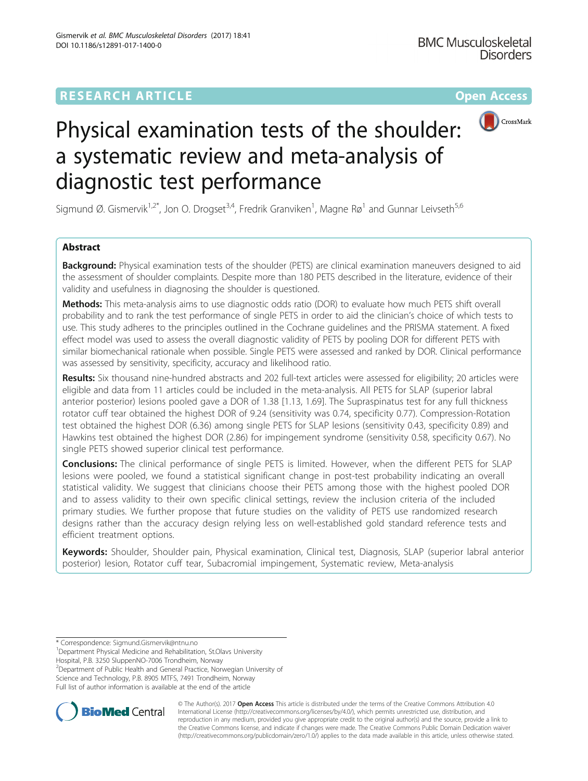## **RESEARCH ARTICLE External Structure Community Community Community Community Community Community Community Community**



# Physical examination tests of the shoulder: a systematic review and meta-analysis of diagnostic test performance

Sigmund Ø. Gismervik<sup>1,2\*</sup>, Jon O. Drogset<sup>3,4</sup>, Fredrik Granviken<sup>1</sup>, Magne Rø<sup>1</sup> and Gunnar Leivseth<sup>5,6</sup>

## Abstract

**Background:** Physical examination tests of the shoulder (PETS) are clinical examination maneuvers designed to aid the assessment of shoulder complaints. Despite more than 180 PETS described in the literature, evidence of their validity and usefulness in diagnosing the shoulder is questioned.

Methods: This meta-analysis aims to use diagnostic odds ratio (DOR) to evaluate how much PETS shift overall probability and to rank the test performance of single PETS in order to aid the clinician's choice of which tests to use. This study adheres to the principles outlined in the Cochrane guidelines and the PRISMA statement. A fixed effect model was used to assess the overall diagnostic validity of PETS by pooling DOR for different PETS with similar biomechanical rationale when possible. Single PETS were assessed and ranked by DOR. Clinical performance was assessed by sensitivity, specificity, accuracy and likelihood ratio.

Results: Six thousand nine-hundred abstracts and 202 full-text articles were assessed for eligibility; 20 articles were eligible and data from 11 articles could be included in the meta-analysis. All PETS for SLAP (superior labral anterior posterior) lesions pooled gave a DOR of 1.38 [1.13, 1.69]. The Supraspinatus test for any full thickness rotator cuff tear obtained the highest DOR of 9.24 (sensitivity was 0.74, specificity 0.77). Compression-Rotation test obtained the highest DOR (6.36) among single PETS for SLAP lesions (sensitivity 0.43, specificity 0.89) and Hawkins test obtained the highest DOR (2.86) for impingement syndrome (sensitivity 0.58, specificity 0.67). No single PETS showed superior clinical test performance.

Conclusions: The clinical performance of single PETS is limited. However, when the different PETS for SLAP lesions were pooled, we found a statistical significant change in post-test probability indicating an overall statistical validity. We suggest that clinicians choose their PETS among those with the highest pooled DOR and to assess validity to their own specific clinical settings, review the inclusion criteria of the included primary studies. We further propose that future studies on the validity of PETS use randomized research designs rather than the accuracy design relying less on well-established gold standard reference tests and efficient treatment options.

Keywords: Shoulder, Shoulder pain, Physical examination, Clinical test, Diagnosis, SLAP (superior labral anterior posterior) lesion, Rotator cuff tear, Subacromial impingement, Systematic review, Meta-analysis

Hospital, P.B. 3250 SluppenNO-7006 Trondheim, Norway

<sup>2</sup> Department of Public Health and General Practice, Norwegian University of Science and Technology, P.B. 8905 MTFS, 7491 Trondheim, Norway

Full list of author information is available at the end of the article



© The Author(s). 2017 **Open Access** This article is distributed under the terms of the Creative Commons Attribution 4.0 International License [\(http://creativecommons.org/licenses/by/4.0/](http://creativecommons.org/licenses/by/4.0/)), which permits unrestricted use, distribution, and reproduction in any medium, provided you give appropriate credit to the original author(s) and the source, provide a link to the Creative Commons license, and indicate if changes were made. The Creative Commons Public Domain Dedication waiver [\(http://creativecommons.org/publicdomain/zero/1.0/](http://creativecommons.org/publicdomain/zero/1.0/)) applies to the data made available in this article, unless otherwise stated.

<sup>\*</sup> Correspondence: [Sigmund.Gismervik@ntnu.no](mailto:Sigmund.Gismervik@ntnu.no) <sup>1</sup>

<sup>&</sup>lt;sup>1</sup>Department Physical Medicine and Rehabilitation, St.Olavs University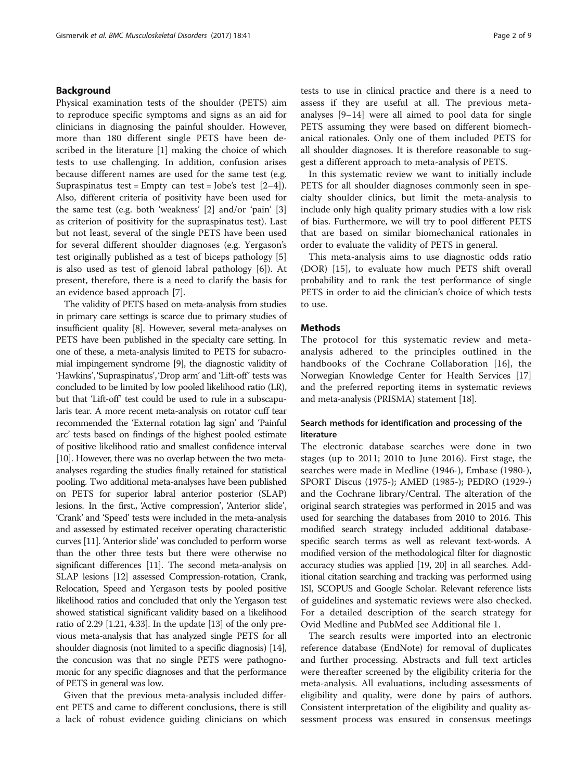## Background

Physical examination tests of the shoulder (PETS) aim to reproduce specific symptoms and signs as an aid for clinicians in diagnosing the painful shoulder. However, more than 180 different single PETS have been described in the literature [\[1\]](#page-7-0) making the choice of which tests to use challenging. In addition, confusion arises because different names are used for the same test (e.g. Supraspinatus test = Empty can test = Jobe's test  $[2-4]$  $[2-4]$  $[2-4]$  $[2-4]$ ). Also, different criteria of positivity have been used for the same test (e.g. both 'weakness' [[2\]](#page-7-0) and/or 'pain' [\[3](#page-7-0)] as criterion of positivity for the supraspinatus test). Last but not least, several of the single PETS have been used for several different shoulder diagnoses (e.g. Yergason's test originally published as a test of biceps pathology [\[5](#page-7-0)] is also used as test of glenoid labral pathology [[6\]](#page-7-0)). At present, therefore, there is a need to clarify the basis for an evidence based approach [[7](#page-7-0)].

The validity of PETS based on meta-analysis from studies in primary care settings is scarce due to primary studies of insufficient quality [\[8\]](#page-7-0). However, several meta-analyses on PETS have been published in the specialty care setting. In one of these, a meta-analysis limited to PETS for subacromial impingement syndrome [[9](#page-7-0)], the diagnostic validity of 'Hawkins', 'Supraspinatus', 'Drop arm' and 'Lift-off' tests was concluded to be limited by low pooled likelihood ratio (LR), but that 'Lift-off' test could be used to rule in a subscapularis tear. A more recent meta-analysis on rotator cuff tear recommended the 'External rotation lag sign' and 'Painful arc' tests based on findings of the highest pooled estimate of positive likelihood ratio and smallest confidence interval [[10](#page-7-0)]. However, there was no overlap between the two metaanalyses regarding the studies finally retained for statistical pooling. Two additional meta-analyses have been published on PETS for superior labral anterior posterior (SLAP) lesions. In the first., 'Active compression', 'Anterior slide', 'Crank' and 'Speed' tests were included in the meta-analysis and assessed by estimated receiver operating characteristic curves [\[11\]](#page-7-0). 'Anterior slide' was concluded to perform worse than the other three tests but there were otherwise no significant differences [\[11](#page-7-0)]. The second meta-analysis on SLAP lesions [[12](#page-7-0)] assessed Compression-rotation, Crank, Relocation, Speed and Yergason tests by pooled positive likelihood ratios and concluded that only the Yergason test showed statistical significant validity based on a likelihood ratio of 2.29 [1.21, 4.33]. In the update [[13](#page-7-0)] of the only previous meta-analysis that has analyzed single PETS for all shoulder diagnosis (not limited to a specific diagnosis) [\[14](#page-7-0)], the concusion was that no single PETS were pathognomonic for any specific diagnoses and that the performance of PETS in general was low.

Given that the previous meta-analysis included different PETS and came to different conclusions, there is still a lack of robust evidence guiding clinicians on which tests to use in clinical practice and there is a need to assess if they are useful at all. The previous metaanalyses [[9](#page-7-0)–[14](#page-7-0)] were all aimed to pool data for single PETS assuming they were based on different biomechanical rationales. Only one of them included PETS for all shoulder diagnoses. It is therefore reasonable to suggest a different approach to meta-analysis of PETS.

In this systematic review we want to initially include PETS for all shoulder diagnoses commonly seen in specialty shoulder clinics, but limit the meta-analysis to include only high quality primary studies with a low risk of bias. Furthermore, we will try to pool different PETS that are based on similar biomechanical rationales in order to evaluate the validity of PETS in general.

This meta-analysis aims to use diagnostic odds ratio (DOR) [[15\]](#page-7-0), to evaluate how much PETS shift overall probability and to rank the test performance of single PETS in order to aid the clinician's choice of which tests to use.

## **Methods**

The protocol for this systematic review and metaanalysis adhered to the principles outlined in the handbooks of the Cochrane Collaboration [[16\]](#page-7-0), the Norwegian Knowledge Center for Health Services [[17](#page-7-0)] and the preferred reporting items in systematic reviews and meta-analysis (PRISMA) statement [\[18\]](#page-7-0).

## Search methods for identification and processing of the literature

The electronic database searches were done in two stages (up to 2011; 2010 to June 2016). First stage, the searches were made in Medline (1946-), Embase (1980-), SPORT Discus (1975-); AMED (1985-); PEDRO (1929-) and the Cochrane library/Central. The alteration of the original search strategies was performed in 2015 and was used for searching the databases from 2010 to 2016. This modified search strategy included additional databasespecific search terms as well as relevant text-words. A modified version of the methodological filter for diagnostic accuracy studies was applied [\[19, 20\]](#page-7-0) in all searches. Additional citation searching and tracking was performed using ISI, SCOPUS and Google Scholar. Relevant reference lists of guidelines and systematic reviews were also checked. For a detailed description of the search strategy for Ovid Medline and PubMed see Additional file [1](#page-6-0).

The search results were imported into an electronic reference database (EndNote) for removal of duplicates and further processing. Abstracts and full text articles were thereafter screened by the eligibility criteria for the meta-analysis. All evaluations, including assessments of eligibility and quality, were done by pairs of authors. Consistent interpretation of the eligibility and quality assessment process was ensured in consensus meetings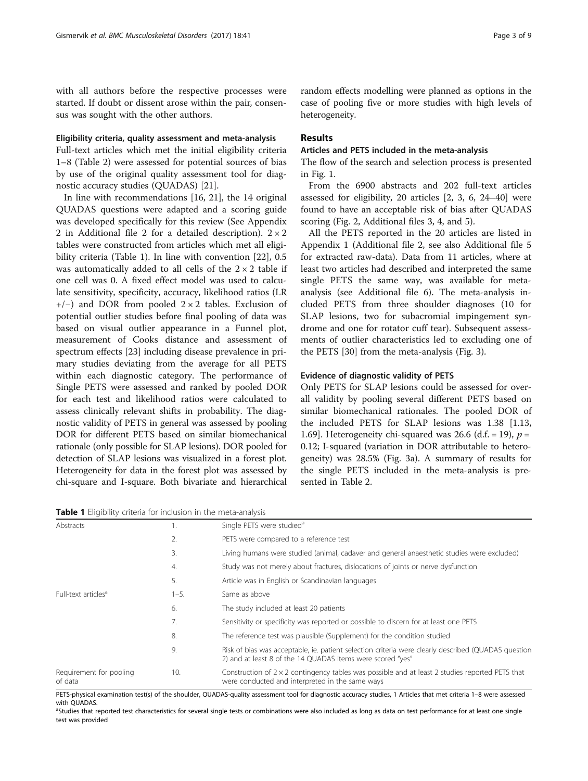with all authors before the respective processes were started. If doubt or dissent arose within the pair, consensus was sought with the other authors.

## Eligibility criteria, quality assessment and meta-analysis

Full-text articles which met the initial eligibility criteria 1–8 (Table [2](#page-5-0)) were assessed for potential sources of bias by use of the original quality assessment tool for diagnostic accuracy studies (QUADAS) [[21](#page-7-0)].

In line with recommendations [\[16](#page-7-0), [21](#page-7-0)], the 14 original QUADAS questions were adapted and a scoring guide was developed specifically for this review (See Appendix 2 in Additional file [2](#page-6-0) for a detailed description).  $2 \times 2$ tables were constructed from articles which met all eligibility criteria (Table 1). In line with convention [[22\]](#page-7-0), 0.5 was automatically added to all cells of the  $2 \times 2$  table if one cell was 0. A fixed effect model was used to calculate sensitivity, specificity, accuracy, likelihood ratios (LR +/−) and DOR from pooled 2 × 2 tables. Exclusion of potential outlier studies before final pooling of data was based on visual outlier appearance in a Funnel plot, measurement of Cooks distance and assessment of spectrum effects [[23\]](#page-7-0) including disease prevalence in primary studies deviating from the average for all PETS within each diagnostic category. The performance of Single PETS were assessed and ranked by pooled DOR for each test and likelihood ratios were calculated to assess clinically relevant shifts in probability. The diagnostic validity of PETS in general was assessed by pooling DOR for different PETS based on similar biomechanical rationale (only possible for SLAP lesions). DOR pooled for detection of SLAP lesions was visualized in a forest plot. Heterogeneity for data in the forest plot was assessed by chi-square and I-square. Both bivariate and hierarchical

Table 1 Eligibility criteria for inclusion in the meta-analysis

random effects modelling were planned as options in the case of pooling five or more studies with high levels of heterogeneity.

## Results

## Articles and PETS included in the meta-analysis

The flow of the search and selection process is presented in Fig. [1](#page-3-0).

From the 6900 abstracts and 202 full-text articles assessed for eligibility, 20 articles [\[2](#page-7-0), [3, 6, 24](#page-7-0)–[40\]](#page-8-0) were found to have an acceptable risk of bias after QUADAS scoring (Fig. [2,](#page-3-0) Additional files [3](#page-6-0), [4](#page-6-0), and [5](#page-6-0)).

All the PETS reported in the 20 articles are listed in Appendix 1 (Additional file [2](#page-6-0), see also Additional file [5](#page-6-0) for extracted raw-data). Data from 11 articles, where at least two articles had described and interpreted the same single PETS the same way, was available for metaanalysis (see Additional file [6](#page-6-0)). The meta-analysis included PETS from three shoulder diagnoses (10 for SLAP lesions, two for subacromial impingement syndrome and one for rotator cuff tear). Subsequent assessments of outlier characteristics led to excluding one of the PETS [\[30](#page-7-0)] from the meta-analysis (Fig. [3](#page-4-0)).

#### Evidence of diagnostic validity of PETS

Only PETS for SLAP lesions could be assessed for overall validity by pooling several different PETS based on similar biomechanical rationales. The pooled DOR of the included PETS for SLAP lesions was 1.38 [1.13, 1.69]. Heterogeneity chi-squared was 26.6 (d.f. = 19),  $p =$ 0.12; I-squared (variation in DOR attributable to heterogeneity) was 28.5% (Fig. [3a](#page-4-0)). A summary of results for the single PETS included in the meta-analysis is presented in Table [2.](#page-5-0)

Abstracts 1. Single PETS were studied<sup>a</sup> 2. PETS were compared to a reference test 3. Living humans were studied (animal, cadaver and general anaesthetic studies were excluded) 4. Study was not merely about fractures, dislocations of joints or nerve dysfunction 5. Article was in English or Scandinavian languages Full-text articles<sup>a</sup>  $1-5$ . Same as above 6. The study included at least 20 patients 7. Sensitivity or specificity was reported or possible to discern for at least one PETS 8. The reference test was plausible (Supplement) for the condition studied 9. Risk of bias was acceptable, ie. patient selection criteria were clearly described (QUADAS question 2) and at least 8 of the 14 QUADAS items were scored "yes" Requirement for pooling of data 10. Construction of  $2 \times 2$  contingency tables was possible and at least 2 studies reported PETS that were conducted and interpreted in the same ways

PETS-physical examination test(s) of the shoulder, QUADAS-quality assessment tool for diagnostic accuracy studies, 1 Articles that met criteria 1–8 were assessed with QUADAS.

<sup>a</sup>Studies that reported test characteristics for several single tests or combinations were also included as long as data on test performance for at least one single test was provided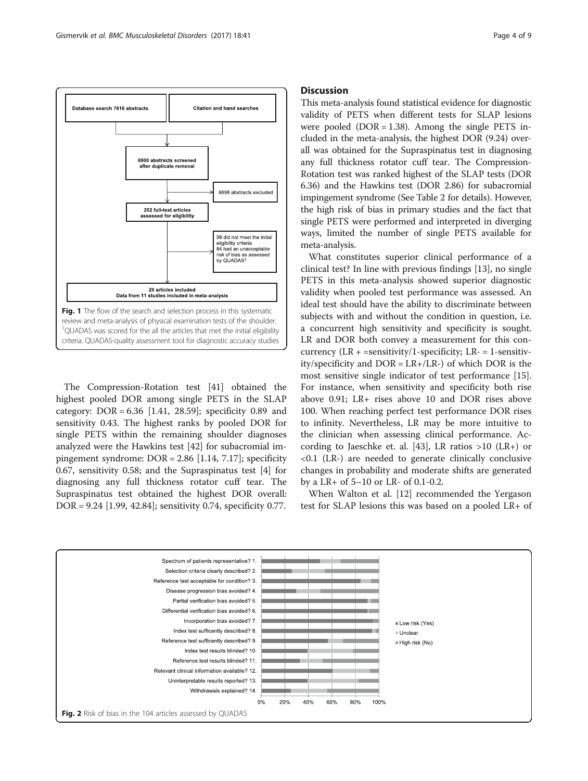<span id="page-3-0"></span>

The Compression-Rotation test [[41\]](#page-8-0) obtained the highest pooled DOR among single PETS in the SLAP category:  $DOR = 6.36$  [1.41, 28.59]; specificity 0.89 and sensitivity 0.43. The highest ranks by pooled DOR for single PETS within the remaining shoulder diagnoses analyzed were the Hawkins test [[42\]](#page-8-0) for subacromial impingement syndrome: DOR = 2.86 [1.14, 7.17]; specificity 0.67, sensitivity 0.58; and the Supraspinatus test [[4\]](#page-7-0) for diagnosing any full thickness rotator cuff tear. The Supraspinatus test obtained the highest DOR overall: DOR = 9.24 [1.99, 42.84]; sensitivity 0.74, specificity 0.77.

## **Discussion**

This meta-analysis found statistical evidence for diagnostic validity of PETS when different tests for SLAP lesions were pooled  $(DOR = 1.38)$ . Among the single PETS included in the meta-analysis, the highest DOR (9.24) overall was obtained for the Supraspinatus test in diagnosing any full thickness rotator cuff tear. The Compression-Rotation test was ranked highest of the SLAP tests (DOR 6.36) and the Hawkins test (DOR 2.86) for subacromial impingement syndrome (See Table [2](#page-5-0) for details). However, the high risk of bias in primary studies and the fact that single PETS were performed and interpreted in diverging ways, limited the number of single PETS available for meta-analysis.

What constitutes superior clinical performance of a clinical test? In line with previous findings [[13\]](#page-7-0), no single PETS in this meta-analysis showed superior diagnostic validity when pooled test performance was assessed. An ideal test should have the ability to discriminate between subjects with and without the condition in question, i.e. a concurrent high sensitivity and specificity is sought. LR and DOR both convey a measurement for this concurrency  $(LR + =$ sensitivity/1-specificity;  $LR = 1$ -sensitivity/specificity and DOR = LR+/LR-) of which DOR is the most sensitive single indicator of test performance [\[15](#page-7-0)]. For instance, when sensitivity and specificity both rise above 0.91; LR+ rises above 10 and DOR rises above 100. When reaching perfect test performance DOR rises to infinity. Nevertheless, LR may be more intuitive to the clinician when assessing clinical performance. According to Jaeschke et. al. [\[43\]](#page-8-0), LR ratios >10 (LR+) or <0.1 (LR-) are needed to generate clinically conclusive changes in probability and moderate shifts are generated by a LR+ of 5–10 or LR- of 0.1-0.2.

When Walton et al. [[12](#page-7-0)] recommended the Yergason test for SLAP lesions this was based on a pooled LR+ of

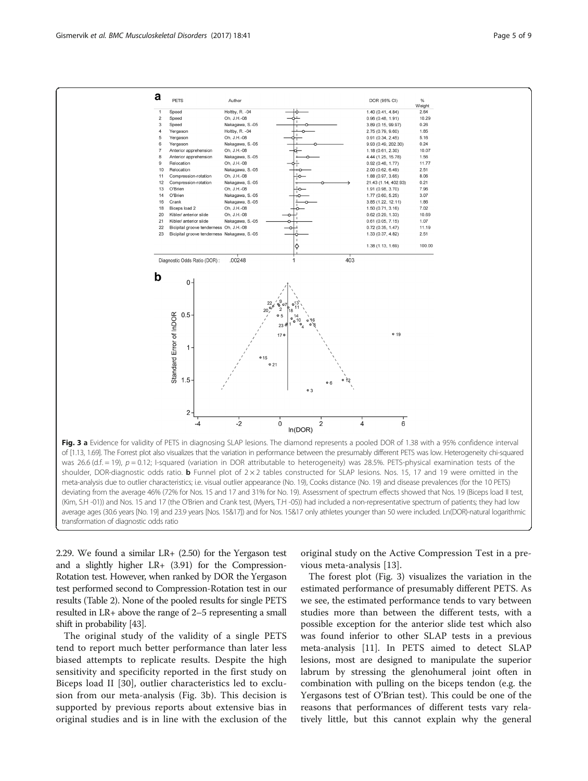<span id="page-4-0"></span>

of [1.13, 1.69]. The Forrest plot also visualizes that the variation in performance between the presumably different PETS was low. Heterogeneity chi-squared was 26.6 (d.f.  $=$  19),  $p = 0.12$ ; I-squared (variation in DOR attributable to heterogeneity) was 28.5%. PETS-physical examination tests of the shoulder, DOR-diagnostic odds ratio. **b** Funnel plot of  $2 \times 2$  tables constructed for SLAP lesions. Nos. 15, 17 and 19 were omitted in the meta-analysis due to outlier characteristics; i.e. visual outlier appearance (No. 19), Cooks distance (No. 19) and disease prevalences (for the 10 PETS) deviating from the average 46% (72% for Nos. 15 and 17 and 31% for No. 19). Assessment of spectrum effects showed that Nos. 19 (Biceps load II test, (Kim, S.H -01)) and Nos. 15 and 17 (the O'Brien and Crank test, (Myers, T.H -05)) had included a non-representative spectrum of patients; they had low average ages (30.6 years [No. 19] and 23.9 years [Nos. 15&17]) and for Nos. 15&17 only athletes younger than 50 were included. Ln(DOR)-natural logarithmic transformation of diagnostic odds ratio

2.29. We found a similar LR+ (2.50) for the Yergason test and a slightly higher LR+ (3.91) for the Compression-Rotation test. However, when ranked by DOR the Yergason test performed second to Compression-Rotation test in our results (Table [2](#page-5-0)). None of the pooled results for single PETS resulted in LR+ above the range of 2–5 representing a small shift in probability [[43](#page-8-0)].

The original study of the validity of a single PETS tend to report much better performance than later less biased attempts to replicate results. Despite the high sensitivity and specificity reported in the first study on Biceps load II [[30\]](#page-7-0), outlier characteristics led to exclusion from our meta-analysis (Fig. 3b). This decision is supported by previous reports about extensive bias in original studies and is in line with the exclusion of the

original study on the Active Compression Test in a previous meta-analysis [[13\]](#page-7-0).

The forest plot (Fig. 3) visualizes the variation in the estimated performance of presumably different PETS. As we see, the estimated performance tends to vary between studies more than between the different tests, with a possible exception for the anterior slide test which also was found inferior to other SLAP tests in a previous meta-analysis [[11\]](#page-7-0). In PETS aimed to detect SLAP lesions, most are designed to manipulate the superior labrum by stressing the glenohumeral joint often in combination with pulling on the biceps tendon (e.g. the Yergasons test of O'Brian test). This could be one of the reasons that performances of different tests vary relatively little, but this cannot explain why the general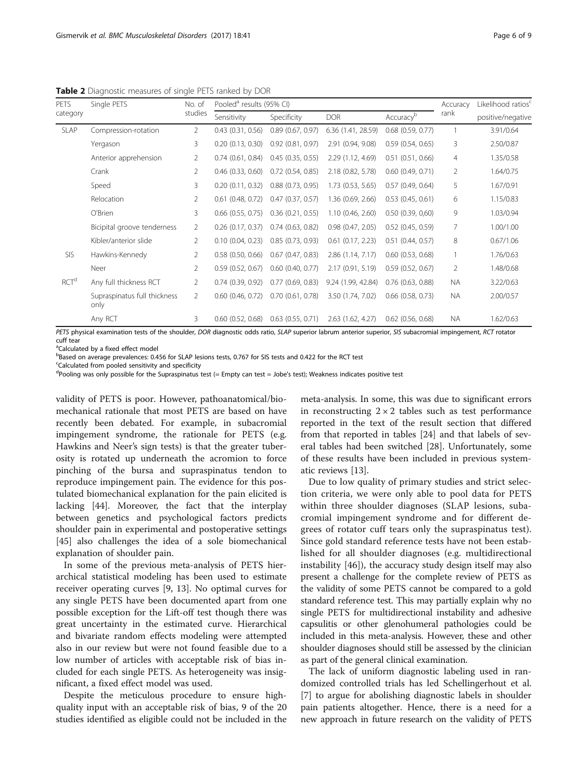<span id="page-5-0"></span>Table 2 Diagnostic measures of single PETS ranked by DOR

| <b>PETS</b><br>category | Single PETS                                                                                                                                                 | No. of<br>studies | Pooled <sup>a</sup> results (95% CI) |                       |                       |                       | Accuracy       | Likelihood ratios |
|-------------------------|-------------------------------------------------------------------------------------------------------------------------------------------------------------|-------------------|--------------------------------------|-----------------------|-----------------------|-----------------------|----------------|-------------------|
|                         |                                                                                                                                                             |                   | Sensitivity                          | Specificity           | <b>DOR</b>            | Accuracyb             | rank           | positive/negative |
| SLAP                    | Compression-rotation                                                                                                                                        | $\overline{2}$    | $0.43$ $(0.31, 0.56)$                | $0.89$ $(0.67, 0.97)$ | 6.36 (1.41, 28.59)    | $0.68$ $(0.59, 0.77)$ |                | 3.91/0.64         |
|                         | Yergason                                                                                                                                                    | 3                 | 0.20(0.13, 0.30)                     | $0.92$ $(0.81, 0.97)$ | 2.91 (0.94, 9.08)     | 0.59(0.54, 0.65)      | 3              | 2.50/0.87         |
|                         | Anterior apprehension                                                                                                                                       | 2                 | $0.74$ $(0.61, 0.84)$                | $0.45$ $(0.35, 0.55)$ | 2.29 (1.12, 4.69)     | 0.51(0.51, 0.66)      | 4              | 1.35/0.58         |
|                         | Crank                                                                                                                                                       | 2                 | $0.46$ $(0.33, 0.60)$                | $0.72$ $(0.54, 0.85)$ | 2.18 (0.82, 5.78)     | $0.60$ $(0.49, 0.71)$ | $\overline{2}$ | 1.64/0.75         |
|                         | Speed                                                                                                                                                       | 3                 | 0.20(0.11, 0.32)                     | $0.88$ $(0.73, 0.95)$ | 1.73 (0.53, 5.65)     | 0.57(0.49, 0.64)      | 5              | 1.67/0.91         |
|                         | Relocation                                                                                                                                                  | 2                 | $0.61$ (0.48, 0.72)                  | $0.47$ $(0.37, 0.57)$ | 1.36 (0.69, 2.66)     | $0.53$ $(0.45, 0.61)$ | 6              | 1.15/0.83         |
|                         | O'Brien                                                                                                                                                     | 3                 | $0.66$ $(0.55, 0.75)$                | $0.36$ $(0.21, 0.55)$ | 1.10(0.46, 2.60)      | 0.50(0.39, 0.60)      | 9              | 1.03/0.94         |
|                         | Bicipital groove tenderness                                                                                                                                 | 2                 | $0.26$ $(0.17, 0.37)$                | $0.74$ $(0.63, 0.82)$ | 0.98(0.47, 2.05)      | $0.52$ (0.45, 0.59)   | 7              | 1.00/1.00         |
|                         | Kibler/anterior slide                                                                                                                                       | 2                 | 0.10(0.04, 0.23)                     | $0.85$ $(0.73, 0.93)$ | $0.61$ $(0.17, 2.23)$ | $0.51$ (0.44, 0.57)   | 8              | 0.67/1.06         |
| <b>SIS</b>              | Hawkins-Kennedy                                                                                                                                             | $\overline{2}$    | $0.58$ (0.50, 0.66)                  | $0.67$ $(0.47, 0.83)$ | 2.86 (1.14, 7.17)     | $0.60$ $(0.53, 0.68)$ |                | 1.76/0.63         |
|                         | Neer                                                                                                                                                        | $\overline{2}$    | 0.59(0.52, 0.67)                     | $0.60$ $(0.40, 0.77)$ | 2.17 (0.91, 5.19)     | 0.59(0.52, 0.67)      | $\overline{2}$ | 1.48/0.68         |
| RCT <sup>d</sup>        | Any full thickness RCT                                                                                                                                      | 2                 | $0.74$ $(0.39, 0.92)$                | $0.77$ $(0.69, 0.83)$ | 9.24 (1.99, 42.84)    | $0.76$ $(0.63, 0.88)$ | <b>NA</b>      | 3.22/0.63         |
|                         | Supraspinatus full thickness<br>only                                                                                                                        | $\overline{2}$    | $0.60$ $(0.46, 0.72)$                | $0.70$ $(0.61, 0.78)$ | 3.50 (1.74, 7.02)     | $0.66$ $(0.58, 0.73)$ | NA.            | 2.00/0.57         |
|                         | Any RCT                                                                                                                                                     | 3                 | $0.60$ $(0.52, 0.68)$                | $0.63$ $(0.55, 0.71)$ | 2.63 (1.62, 4.27)     | $0.62$ $(0.56, 0.68)$ | <b>NA</b>      | 1.62/0.63         |
|                         | BETC abouted according to the character DOD discovering adds antis. CLAD consideration activities considerate CLC solid according to according DCT activity |                   |                                      |                       |                       |                       |                |                   |

PETS physical examination tests of the shoulder, DOR diagnostic odds ratio, SLAP superior labrum anterior superior, SIS subacromial impingement, RCT rotator cuff tear

<sup>a</sup>Calculated by a fixed effect model

**Based on average prevalences: 0.456 for SLAP lesions tests, 0.767 for SIS tests and 0.422 for the RCT test** 

<sup>c</sup>Calculated from pooled sensitivity and specificity

<sup>d</sup>Pooling was only possible for the Supraspinatus test (= Empty can test = Jobe's test); Weakness indicates positive test

validity of PETS is poor. However, pathoanatomical/biomechanical rationale that most PETS are based on have recently been debated. For example, in subacromial impingement syndrome, the rationale for PETS (e.g. Hawkins and Neer's sign tests) is that the greater tuberosity is rotated up underneath the acromion to force pinching of the bursa and supraspinatus tendon to reproduce impingement pain. The evidence for this postulated biomechanical explanation for the pain elicited is lacking [\[44](#page-8-0)]. Moreover, the fact that the interplay between genetics and psychological factors predicts shoulder pain in experimental and postoperative settings [[45\]](#page-8-0) also challenges the idea of a sole biomechanical explanation of shoulder pain.

In some of the previous meta-analysis of PETS hierarchical statistical modeling has been used to estimate receiver operating curves [\[9, 13\]](#page-7-0). No optimal curves for any single PETS have been documented apart from one possible exception for the Lift-off test though there was great uncertainty in the estimated curve. Hierarchical and bivariate random effects modeling were attempted also in our review but were not found feasible due to a low number of articles with acceptable risk of bias included for each single PETS. As heterogeneity was insignificant, a fixed effect model was used.

Despite the meticulous procedure to ensure highquality input with an acceptable risk of bias, 9 of the 20 studies identified as eligible could not be included in the meta-analysis. In some, this was due to significant errors in reconstructing  $2 \times 2$  tables such as test performance reported in the text of the result section that differed from that reported in tables [[24\]](#page-7-0) and that labels of several tables had been switched [\[28](#page-7-0)]. Unfortunately, some of these results have been included in previous systematic reviews [[13](#page-7-0)].

Due to low quality of primary studies and strict selection criteria, we were only able to pool data for PETS within three shoulder diagnoses (SLAP lesions, subacromial impingement syndrome and for different degrees of rotator cuff tears only the supraspinatus test). Since gold standard reference tests have not been established for all shoulder diagnoses (e.g. multidirectional instability [[46](#page-8-0)]), the accuracy study design itself may also present a challenge for the complete review of PETS as the validity of some PETS cannot be compared to a gold standard reference test. This may partially explain why no single PETS for multidirectional instability and adhesive capsulitis or other glenohumeral pathologies could be included in this meta-analysis. However, these and other shoulder diagnoses should still be assessed by the clinician as part of the general clinical examination.

The lack of uniform diagnostic labeling used in randomized controlled trials has led Schellingerhout et al. [[7\]](#page-7-0) to argue for abolishing diagnostic labels in shoulder pain patients altogether. Hence, there is a need for a new approach in future research on the validity of PETS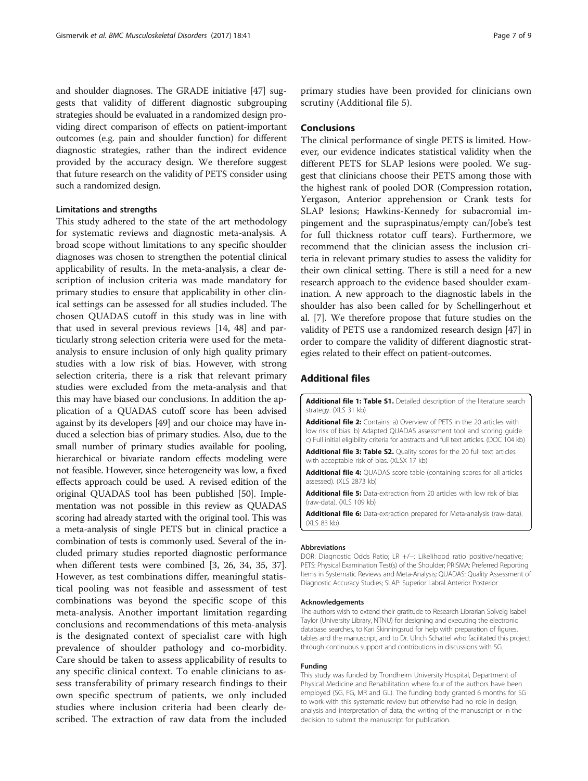<span id="page-6-0"></span>and shoulder diagnoses. The GRADE initiative [[47](#page-8-0)] suggests that validity of different diagnostic subgrouping strategies should be evaluated in a randomized design providing direct comparison of effects on patient-important outcomes (e.g. pain and shoulder function) for different diagnostic strategies, rather than the indirect evidence provided by the accuracy design. We therefore suggest that future research on the validity of PETS consider using such a randomized design.

#### Limitations and strengths

This study adhered to the state of the art methodology for systematic reviews and diagnostic meta-analysis. A broad scope without limitations to any specific shoulder diagnoses was chosen to strengthen the potential clinical applicability of results. In the meta-analysis, a clear description of inclusion criteria was made mandatory for primary studies to ensure that applicability in other clinical settings can be assessed for all studies included. The chosen QUADAS cutoff in this study was in line with that used in several previous reviews [\[14,](#page-7-0) [48](#page-8-0)] and particularly strong selection criteria were used for the metaanalysis to ensure inclusion of only high quality primary studies with a low risk of bias. However, with strong selection criteria, there is a risk that relevant primary studies were excluded from the meta-analysis and that this may have biased our conclusions. In addition the application of a QUADAS cutoff score has been advised against by its developers [\[49\]](#page-8-0) and our choice may have induced a selection bias of primary studies. Also, due to the small number of primary studies available for pooling, hierarchical or bivariate random effects modeling were not feasible. However, since heterogeneity was low, a fixed effects approach could be used. A revised edition of the original QUADAS tool has been published [\[50](#page-8-0)]. Implementation was not possible in this review as QUADAS scoring had already started with the original tool. This was a meta-analysis of single PETS but in clinical practice a combination of tests is commonly used. Several of the included primary studies reported diagnostic performance when different tests were combined [\[3, 26](#page-7-0), [34, 35, 37](#page-8-0)]. However, as test combinations differ, meaningful statistical pooling was not feasible and assessment of test combinations was beyond the specific scope of this meta-analysis. Another important limitation regarding conclusions and recommendations of this meta-analysis is the designated context of specialist care with high prevalence of shoulder pathology and co-morbidity. Care should be taken to assess applicability of results to any specific clinical context. To enable clinicians to assess transferability of primary research findings to their own specific spectrum of patients, we only included studies where inclusion criteria had been clearly described. The extraction of raw data from the included

primary studies have been provided for clinicians own scrutiny (Additional file 5).

## Conclusions

The clinical performance of single PETS is limited. However, our evidence indicates statistical validity when the different PETS for SLAP lesions were pooled. We suggest that clinicians choose their PETS among those with the highest rank of pooled DOR (Compression rotation, Yergason, Anterior apprehension or Crank tests for SLAP lesions; Hawkins-Kennedy for subacromial impingement and the supraspinatus/empty can/Jobe's test for full thickness rotator cuff tears). Furthermore, we recommend that the clinician assess the inclusion criteria in relevant primary studies to assess the validity for their own clinical setting. There is still a need for a new research approach to the evidence based shoulder examination. A new approach to the diagnostic labels in the shoulder has also been called for by Schellingerhout et al. [[7\]](#page-7-0). We therefore propose that future studies on the validity of PETS use a randomized research design [[47\]](#page-8-0) in order to compare the validity of different diagnostic strategies related to their effect on patient-outcomes.

## Additional files

[Additional file 1: Table S1.](dx.doi.org/10.1186/s12891-017-1400-0) Detailed description of the literature search strategy. (XLS 31 kb)

[Additional file 2:](dx.doi.org/10.1186/s12891-017-1400-0) Contains: a) Overview of PETS in the 20 articles with low risk of bias. b) Adapted QUADAS assessment tool and scoring guide. c) Full initial eligibility criteria for abstracts and full text articles. (DOC 104 kb)

[Additional file 3: Table S2.](dx.doi.org/10.1186/s12891-017-1400-0) Quality scores for the 20 full text articles with acceptable risk of bias. (XLSX 17 kb)

[Additional file 4:](dx.doi.org/10.1186/s12891-017-1400-0) QUADAS score table (containing scores for all articles assessed). (XLS 2873 kb)

[Additional file 5:](dx.doi.org/10.1186/s12891-017-1400-0) Data-extraction from 20 articles with low risk of bias (raw-data). (XLS 109 kb)

[Additional file 6:](dx.doi.org/10.1186/s12891-017-1400-0) Data-extraction prepared for Meta-analysis (raw-data). (XLS 83 kb)

#### Abbreviations

DOR: Diagnostic Odds Ratio; LR +/−: Likelihood ratio positive/negative; PETS: Physical Examination Test(s) of the Shoulder; PRISMA: Preferred Reporting Items in Systematic Reviews and Meta-Analysis; QUADAS: Quality Assessment of Diagnostic Accuracy Studies; SLAP: Superior Labral Anterior Posterior

#### Acknowledgements

The authors wish to extend their gratitude to Research Librarian Solveig Isabel Taylor (University Library, NTNU) for designing and executing the electronic database searches, to Kari Skinningsrud for help with preparation of figures, tables and the manuscript, and to Dr. Ulrich Schattel who facilitated this project through continuous support and contributions in discussions with SG.

#### Funding

This study was funded by Trondheim University Hospital, Department of Physical Medicine and Rehabilitation where four of the authors have been employed (SG, FG, MR and GL). The funding body granted 6 months for SG to work with this systematic review but otherwise had no role in design, analysis and interpretation of data, the writing of the manuscript or in the decision to submit the manuscript for publication.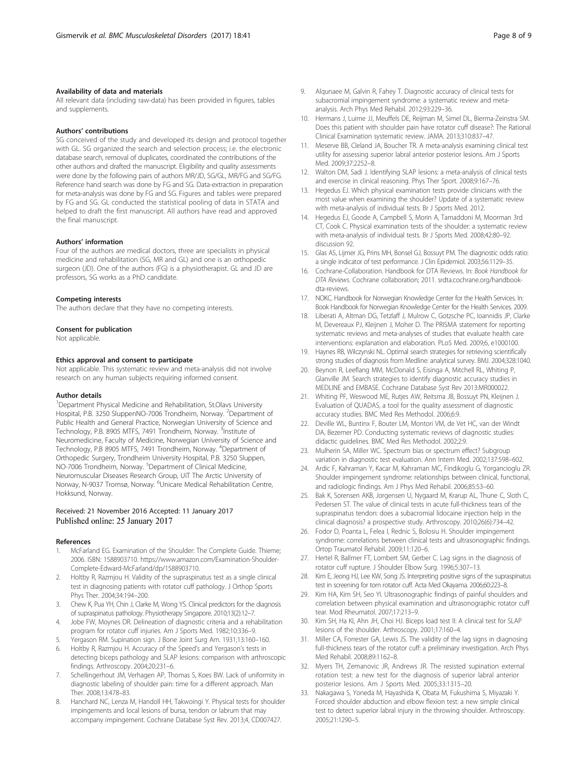## <span id="page-7-0"></span>Availability of data and materials

All relevant data (including raw-data) has been provided in figures, tables and supplements.

#### Authors' contributions

SG conceived of the study and developed its design and protocol together with GL. SG organized the search and selection process; i.e. the electronic database search, removal of duplicates, coordinated the contributions of the other authors and drafted the manuscript. Eligibility and quality assessments were done by the following pairs of authors MR/JD, SG/GL, MR/FG and SG/FG. Reference hand search was done by FG and SG. Data-extraction in preparation for meta-analysis was done by FG and SG. Figures and tables were prepared by FG and SG. GL conducted the statistical pooling of data in STATA and helped to draft the first manuscript. All authors have read and approved the final manuscript.

#### Authors' information

Four of the authors are medical doctors, three are specialists in physical medicine and rehabilitation (SG, MR and GL) and one is an orthopedic surgeon (JD). One of the authors (FG) is a physiotherapist. GL and JD are professors, SG works as a PhD candidate.

#### Competing interests

The authors declare that they have no competing interests.

#### Consent for publication

Not applicable.

#### Ethics approval and consent to participate

Not applicable. This systematic review and meta-analysis did not involve research on any human subjects requiring informed consent.

#### Author details

<sup>1</sup>Department Physical Medicine and Rehabilitation, St.Olavs University Hospital, P.B. 3250 SluppenNO-7006 Trondheim, Norway. <sup>2</sup>Department of Public Health and General Practice, Norwegian University of Science and Technology, P.B. 8905 MTFS, 7491 Trondheim, Norway. <sup>3</sup>Institute of Neuromedicine, Faculty of Medicine, Norwegian University of Science and Technology, P.B 8905 MTFS, 7491 Trondheim, Norway. <sup>4</sup> Department of Orthopedic Surgery, Trondheim University Hospital, P.B. 3250 Sluppen, NO-7006 Trondheim, Norway. <sup>5</sup>Department of Clinical Medicine, Neuromuscular Diseases Research Group, UiT The Arctic University of Norway, N-9037 Tromsø, Norway. <sup>6</sup>Unicare Medical Rehabilitation Centre, Hokksund, Norway.

#### Received: 21 November 2016 Accepted: 11 January 2017 Published online: 25 January 2017

#### References

- 1. McFarland EG. Examination of the Shoulder: The Complete Guide. Thieme; 2006. ISBN: 1588903710. [https://www.amazon.com/Examination-Shoulder-](https://www.amazon.com/Examination-Shoulder-Complete-Edward-McFarland/dp/1588903710)[Complete-Edward-McFarland/dp/1588903710](https://www.amazon.com/Examination-Shoulder-Complete-Edward-McFarland/dp/1588903710).
- 2. Holtby R, Razmjou H. Validity of the supraspinatus test as a single clinical test in diagnosing patients with rotator cuff pathology. J Orthop Sports Phys Ther. 2004;34:194–200.
- 3. Chew K, Pua YH, Chin J, Clarke M, Wong YS. Clinical predictors for the diagnosis of supraspinatus pathology. Physiotherapy Singapore. 2010;13(2):12–7.
- 4. Jobe FW, Moynes DR. Delineation of diagnostic criteria and a rehabilitation program for rotator cuff injuries. Am J Sports Med. 1982;10:336–9.
- 5. Yergason RM. Supination sign. J Bone Joint Surg Am. 1931;13:160–160.
- 6. Holtby R, Razmjou H. Accuracy of the Speed's and Yergason's tests in detecting biceps pathology and SLAP lesions: comparison with arthroscopic findings. Arthroscopy. 2004;20:231–6.
- 7. Schellingerhout JM, Verhagen AP, Thomas S, Koes BW. Lack of uniformity in diagnostic labeling of shoulder pain: time for a different approach. Man Ther. 2008;13:478–83.
- Hanchard NC, Lenza M, Handoll HH, Takwoingi Y. Physical tests for shoulder impingements and local lesions of bursa, tendon or labrum that may accompany impingement. Cochrane Database Syst Rev. 2013;4, CD007427.
- 9. Alqunaee M, Galvin R, Fahey T. Diagnostic accuracy of clinical tests for subacromial impingement syndrome: a systematic review and metaanalysis. Arch Phys Med Rehabil. 2012;93:229–36.
- 10. Hermans J, Luime JJ, Meuffels DE, Reijman M, Simel DL, Bierma-Zeinstra SM. Does this patient with shoulder pain have rotator cuff disease?: The Rational Clinical Examination systematic review. JAMA. 2013;310:837–47.
- 11. Meserve BB, Cleland JA, Boucher TR. A meta-analysis examining clinical test utility for assessing superior labral anterior posterior lesions. Am J Sports Med. 2009;37:2252–8.
- 12. Walton DM, Sadi J. Identifying SLAP lesions: a meta-analysis of clinical tests and exercise in clinical reasoning. Phys Ther Sport. 2008;9:167–76.
- 13. Hegedus EJ. Which physical examination tests provide clinicians with the most value when examining the shoulder? Update of a systematic review with meta-analysis of individual tests. Br J Sports Med. 2012.
- 14. Hegedus EJ, Goode A, Campbell S, Morin A, Tamaddoni M, Moorman 3rd CT, Cook C. Physical examination tests of the shoulder: a systematic review with meta-analysis of individual tests. Br J Sports Med. 2008;42:80–92. discussion 92.
- 15. Glas AS, Lijmer JG, Prins MH, Bonsel GJ, Bossuyt PM. The diagnostic odds ratio: a single indicator of test performance. J Clin Epidemiol. 2003;56:1129–35.
- 16. Cochrane-Collaboration. Handbook for DTA Reviews. In: Book Handbook for DTA Reviews. Cochrane collaboration; 2011. [srdta.cochrane.org/handbook](https://www.srdta.cochrane.org/handbook-dta-reviews)[dta-reviews](https://www.srdta.cochrane.org/handbook-dta-reviews).
- 17. NOKC. Handbook for Norwegian Knowledge Center for the Health Services. In: Book Handbook for Norwegian Knowledge Center for the Health Services. 2009.
- 18. Liberati A, Altman DG, Tetzlaff J, Mulrow C, Gotzsche PC, Ioannidis JP, Clarke M, Devereaux PJ, Kleijnen J, Moher D. The PRISMA statement for reporting systematic reviews and meta-analyses of studies that evaluate health care interventions: explanation and elaboration. PLoS Med. 2009;6, e1000100.
- 19. Haynes RB, Wilczynski NL. Optimal search strategies for retrieving scientifically strong studies of diagnosis from Medline: analytical survey. BMJ. 2004;328:1040.
- 20. Beynon R, Leeflang MM, McDonald S, Eisinga A, Mitchell RL, Whiting P, Glanville JM. Search strategies to identify diagnostic accuracy studies in MEDLINE and EMBASE. Cochrane Database Syst Rev 2013:MR000022.
- 21. Whiting PF, Weswood ME, Rutjes AW, Reitsma JB, Bossuyt PN, Kleijnen J. Evaluation of QUADAS, a tool for the quality assessment of diagnostic accuracy studies. BMC Med Res Methodol. 2006;6:9.
- 22. Deville WL, Buntinx F, Bouter LM, Montori VM, de Vet HC, van der Windt DA, Bezemer PD. Conducting systematic reviews of diagnostic studies: didactic guidelines. BMC Med Res Methodol. 2002;2:9.
- 23. Mulherin SA, Miller WC. Spectrum bias or spectrum effect? Subgroup variation in diagnostic test evaluation. Ann Intern Med. 2002;137:598–602.
- 24. Ardic F, Kahraman Y, Kacar M, Kahraman MC, Findikoglu G, Yorgancioglu ZR. Shoulder impingement syndrome: relationships between clinical, functional, and radiologic findings. Am J Phys Med Rehabil. 2006;85:53–60.
- 25. Bak K, Sorensen AKB, Jorgensen U, Nygaard M, Krarup AL, Thune C, Sloth C, Pedersen ST. The value of clinical tests in acute full-thickness tears of the supraspinatus tendon: does a subacromial lidocaine injection help in the clinical diagnosis? a prospective study. Arthroscopy. 2010;26(6):734–42.
- 26. Fodor D, Poanta L, Felea I, Rednic S, Bolosiu H. Shoulder impingement syndrome: correlations between clinical tests and ultrasonographic findings. Ortop Traumatol Rehabil. 2009;11:120–6.
- 27. Hertel R, Ballmer FT, Lombert SM, Gerber C. Lag signs in the diagnosis of rotator cuff rupture. J Shoulder Elbow Surg. 1996;5:307–13.
- 28. Kim E, Jeong HJ, Lee KW, Song JS. Interpreting positive signs of the supraspinatus test in screening for torn rotator cuff. Acta Med Okayama. 2006;60:223–8.
- 29. Kim HA, Kim SH, Seo YI. Ultrasonographic findings of painful shoulders and correlation between physical examination and ultrasonographic rotator cuff tear. Mod Rheumatol. 2007;17:213–9.
- 30. Kim SH, Ha KI, Ahn JH, Choi HJ. Biceps load test II: A clinical test for SLAP lesions of the shoulder. Arthroscopy. 2001;17:160–4.
- 31. Miller CA, Forrester GA, Lewis JS. The validity of the lag signs in diagnosing full-thickness tears of the rotator cuff: a preliminary investigation. Arch Phys Med Rehabil. 2008;89:1162–8.
- 32. Myers TH, Zemanovic JR, Andrews JR. The resisted supination external rotation test: a new test for the diagnosis of superior labral anterior posterior lesions. Am J Sports Med. 2005;33:1315–20.
- 33. Nakagawa S, Yoneda M, Hayashida K, Obata M, Fukushima S, Miyazaki Y. Forced shoulder abduction and elbow flexion test: a new simple clinical test to detect superior labral injury in the throwing shoulder. Arthroscopy. 2005;21:1290–5.